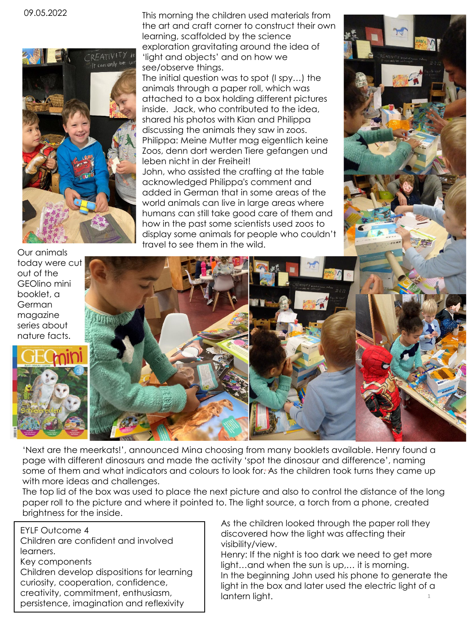09.05.2022



Our animals today were cut out of the GEOlino mini booklet, a German magazine series about nature facts.



This morning the children used materials from the art and craft corner to construct their own learning, scaffolded by the science exploration gravitating around the idea of 'light and objects' and on how we see/observe things.

The initial question was to spot (I spy…) the animals through a paper roll, which was attached to a box holding different pictures inside. Jack, who contributed to the idea, shared his photos with Kian and Philippa discussing the animals they saw in zoos. Philippa: Meine Mutter mag eigentlich keine Zoos, denn dort werden Tiere gefangen und leben nicht in der Freiheit! John, who assisted the crafting at the table acknowledged Philippa's comment and added in German that in some areas of the world animals can live in large areas where humans can still take good care of them and how in the past some scientists used zoos to display some animals for people who couldn't travel to see them in the wild.



'Next are the meerkats!', announced Mina choosing from many booklets available. Henry found a page with different dinosaurs and made the activity 'spot the dinosaur and difference', naming some of them and what indicators and colours to look for. As the children took turns they came up with more ideas and challenges.

The top lid of the box was used to place the next picture and also to control the distance of the long paper roll to the picture and where it pointed to. The light source, a torch from a phone, created brightness for the inside.

EYLF Outcome 4 Children are confident and involved learners. Key components Children develop dispositions for learning curiosity, cooperation, confidence, creativity, commitment, enthusiasm, persistence, imagination and reflexivity

As the children looked through the paper roll they discovered how the light was affecting their visibility/view.

1 Henry: If the night is too dark we need to get more light…and when the sun is up,… it is morning. In the beginning John used his phone to generate the light in the box and later used the electric light of a lantern light.